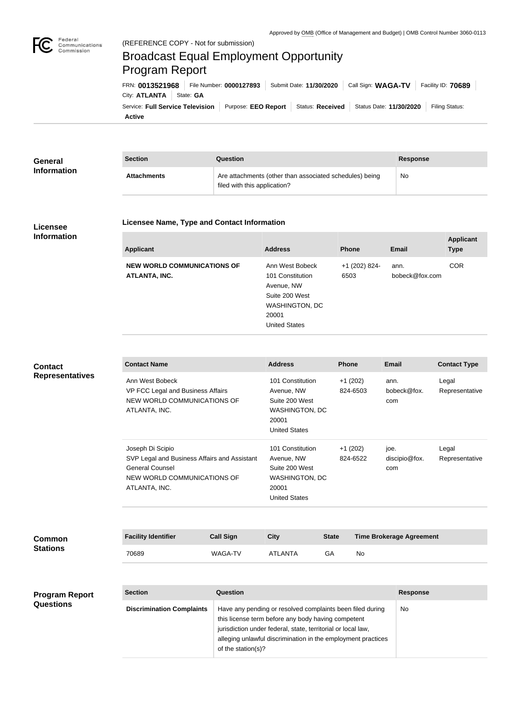

## Broadcast Equal Employment Opportunity Program Report

**Active** Service: Full Service Television | Purpose: EEO Report | Status: Received | Status Date: 11/30/2020 | Filing Status: City: **ATLANTA** State: GA FRN: **0013521968** File Number: **0000127893** Submit Date: **11/30/2020** Call Sign: **WAGA-TV** Facility ID: **70689**

| General<br><b>Information</b> | <b>Section</b>     | <b>Question</b>                                                                         | <b>Response</b> |
|-------------------------------|--------------------|-----------------------------------------------------------------------------------------|-----------------|
|                               | <b>Attachments</b> | Are attachments (other than associated schedules) being<br>filed with this application? | No              |

## **Licensee Information**

## **Licensee Name, Type and Contact Information**

| <b>Address</b>                 | <b>Phone</b>  | <b>Email</b>   | <b>Applicant</b><br><b>Type</b> |
|--------------------------------|---------------|----------------|---------------------------------|
| Ann West Bobeck                | +1 (202) 824- | ann.           | <b>COR</b>                      |
| 101 Constitution<br>Avenue, NW | 6503          | bobeck@fox.com |                                 |
| Suite 200 West                 |               |                |                                 |
| <b>WASHINGTON, DC</b>          |               |                |                                 |
| 20001                          |               |                |                                 |
| <b>United States</b>           |               |                |                                 |
|                                |               |                |                                 |

## **Cont Repr**

| <b>Contact</b><br><b>Representatives</b> | <b>Contact Name</b>                                                                                                                        |                                                                  | <b>Address</b>                                                                                                  |                       | Phone                 | <b>Email</b>                    | <b>Contact Type</b>     |  |
|------------------------------------------|--------------------------------------------------------------------------------------------------------------------------------------------|------------------------------------------------------------------|-----------------------------------------------------------------------------------------------------------------|-----------------------|-----------------------|---------------------------------|-------------------------|--|
|                                          | Ann West Bobeck<br>ATLANTA, INC.                                                                                                           | VP FCC Legal and Business Affairs<br>NEW WORLD COMMUNICATIONS OF |                                                                                                                 | <b>WASHINGTON, DC</b> | $+1(202)$<br>824-6503 | ann.<br>bobeck@fox.<br>com      | Legal<br>Representative |  |
|                                          | Joseph Di Scipio<br>SVP Legal and Business Affairs and Assistant<br><b>General Counsel</b><br>NEW WORLD COMMUNICATIONS OF<br>ATLANTA, INC. |                                                                  | 101 Constitution<br>Avenue, NW<br>Suite 200 West<br><b>WASHINGTON, DC</b><br>20001<br><b>United States</b>      |                       | $+1(202)$<br>824-6522 | joe.<br>discipio@fox.<br>com    | Legal<br>Representative |  |
| Common<br><b>Stations</b>                | <b>Facility Identifier</b>                                                                                                                 | <b>Call Sign</b>                                                 | <b>City</b>                                                                                                     | <b>State</b>          |                       | <b>Time Brokerage Agreement</b> |                         |  |
|                                          | 70689                                                                                                                                      | <b>WAGA-TV</b>                                                   | <b>ATLANTA</b>                                                                                                  | GA                    | No                    |                                 |                         |  |
| <b>Program Report</b><br>Questions       | <b>Section</b>                                                                                                                             | <b>Question</b>                                                  |                                                                                                                 |                       |                       | <b>Response</b>                 |                         |  |
|                                          | <b>Discrimination Complaints</b>                                                                                                           |                                                                  | Have any pending or resolved complaints been filed during<br>this license term before any body having competent |                       |                       | No                              |                         |  |

jurisdiction under federal, state, territorial or local law,

of the station(s)?

alleging unlawful discrimination in the employment practices